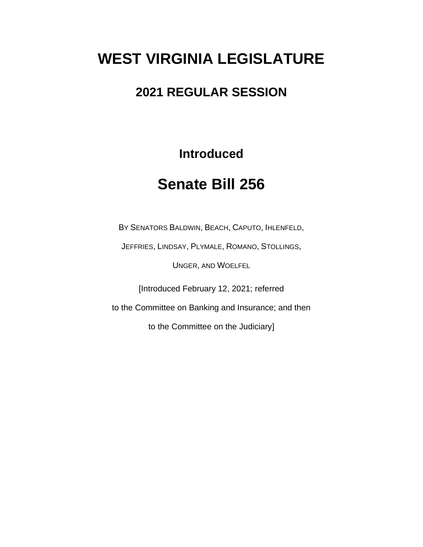# **WEST VIRGINIA LEGISLATURE**

### **2021 REGULAR SESSION**

**Introduced**

## **Senate Bill 256**

BY SENATORS BALDWIN, BEACH, CAPUTO, IHLENFELD,

JEFFRIES, LINDSAY, PLYMALE, ROMANO, STOLLINGS,

UNGER, AND WOELFEL

[Introduced February 12, 2021; referred

to the Committee on Banking and Insurance; and then

to the Committee on the Judiciary]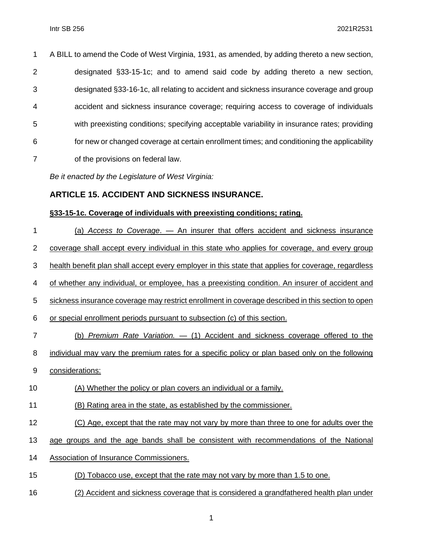| $\mathbf{1}$   | A BILL to amend the Code of West Virginia, 1931, as amended, by adding thereto a new section, |
|----------------|-----------------------------------------------------------------------------------------------|
| $\overline{2}$ | designated §33-15-1c; and to amend said code by adding thereto a new section,                 |
| 3              | designated §33-16-1c, all relating to accident and sickness insurance coverage and group      |
| $\overline{4}$ | accident and sickness insurance coverage; requiring access to coverage of individuals         |
| 5              | with preexisting conditions; specifying acceptable variability in insurance rates; providing  |
| 6              | for new or changed coverage at certain enrollment times; and conditioning the applicability   |
| 7              | of the provisions on federal law.                                                             |

*Be it enacted by the Legislature of West Virginia:*

### **ARTICLE 15. ACCIDENT AND SICKNESS INSURANCE.**

### **§33-15-1c. Coverage of individuals with preexisting conditions; rating.**

| 1  | (a) Access to Coverage. - An insurer that offers accident and sickness insurance                    |
|----|-----------------------------------------------------------------------------------------------------|
| 2  | coverage shall accept every individual in this state who applies for coverage, and every group      |
| 3  | health benefit plan shall accept every employer in this state that applies for coverage, regardless |
| 4  | of whether any individual, or employee, has a preexisting condition. An insurer of accident and     |
| 5  | sickness insurance coverage may restrict enrollment in coverage described in this section to open   |
| 6  | or special enrollment periods pursuant to subsection (c) of this section.                           |
| 7  | (b) Premium Rate Variation. - (1) Accident and sickness coverage offered to the                     |
| 8  | individual may vary the premium rates for a specific policy or plan based only on the following     |
| 9  | considerations:                                                                                     |
| 10 | (A) Whether the policy or plan covers an individual or a family.                                    |
| 11 | (B) Rating area in the state, as established by the commissioner.                                   |
| 12 | (C) Age, except that the rate may not vary by more than three to one for adults over the            |
| 13 | age groups and the age bands shall be consistent with recommendations of the National               |
| 14 | <b>Association of Insurance Commissioners.</b>                                                      |
| 15 | Tobacco use, except that the rate may not vary by more than 1.5 to one.                             |
|    |                                                                                                     |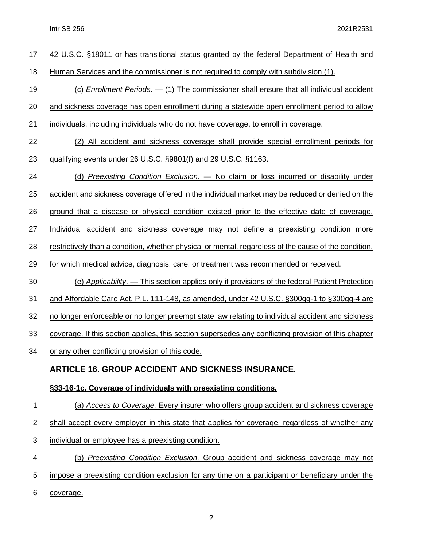| 17             | 42 U.S.C. §18011 or has transitional status granted by the federal Department of Health and           |
|----------------|-------------------------------------------------------------------------------------------------------|
| 18             | Human Services and the commissioner is not required to comply with subdivision (1).                   |
| 19             | $(c)$ Enrollment Periods. $-$ (1) The commissioner shall ensure that all individual accident          |
| 20             | and sickness coverage has open enrollment during a statewide open enrollment period to allow          |
| 21             | individuals, including individuals who do not have coverage, to enroll in coverage.                   |
| 22             | (2) All accident and sickness coverage shall provide special enrollment periods for                   |
| 23             | qualifying events under 26 U.S.C. §9801(f) and 29 U.S.C. §1163.                                       |
| 24             | (d) Preexisting Condition Exclusion. — No claim or loss incurred or disability under                  |
| 25             | accident and sickness coverage offered in the individual market may be reduced or denied on the       |
| 26             | ground that a disease or physical condition existed prior to the effective date of coverage.          |
| 27             | Individual accident and sickness coverage may not define a preexisting condition more                 |
| 28             | restrictively than a condition, whether physical or mental, regardless of the cause of the condition, |
| 29             | for which medical advice, diagnosis, care, or treatment was recommended or received.                  |
| 30             | (e) Applicability. — This section applies only if provisions of the federal Patient Protection        |
| 31             | and Affordable Care Act, P.L. 111-148, as amended, under 42 U.S.C. §300gg-1 to §300gg-4 are           |
| 32             | no longer enforceable or no longer preempt state law relating to individual accident and sickness     |
| 33             | coverage. If this section applies, this section supersedes any conflicting provision of this chapter  |
| 34             | or any other conflicting provision of this code.                                                      |
|                | <b>ARTICLE 16. GROUP ACCIDENT AND SICKNESS INSURANCE.</b>                                             |
|                | §33-16-1c. Coverage of individuals with preexisting conditions.                                       |
| 1              | (a) Access to Coverage. Every insurer who offers group accident and sickness coverage                 |
| $\overline{2}$ | shall accept every employer in this state that applies for coverage, regardless of whether any        |
| 3              | individual or employee has a preexisting condition.                                                   |
| 4              | (b) Preexisting Condition Exclusion. Group accident and sickness coverage may not                     |

- 5 impose a preexisting condition exclusion for any time on a participant or beneficiary under the
- 6 coverage.

2